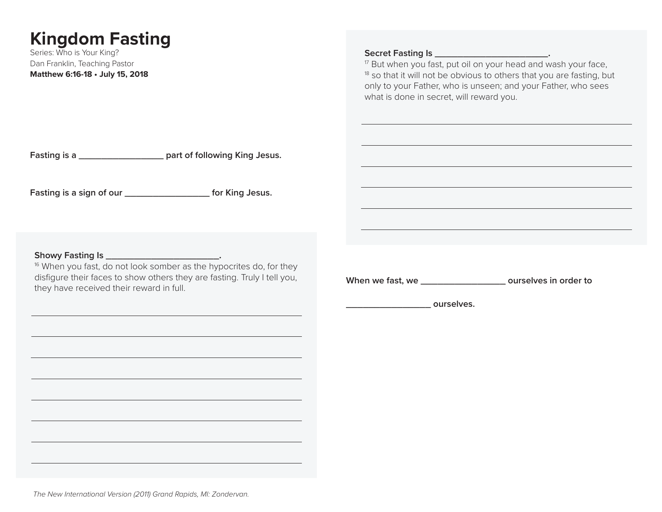# **Kingdom Fasting**

Series: Who is Your King? Dan Franklin, Teaching Pastor **Matthew 6:16-18 • July 15, 2018**

## Secret Fasting Is \_\_\_\_\_\_\_\_\_\_\_\_\_\_\_\_\_\_\_\_\_\_\_\_.

<sup>17</sup> But when you fast, put oil on your head and wash your face,  $18$  so that it will not be obvious to others that you are fasting, but only to your Father, who is unseen; and your Father, who sees what is done in secret, will reward you.

**Fasting is a \_\_\_\_\_\_\_\_\_\_\_\_\_\_\_ part of following King Jesus.**

**Fasting is a sign of our \_\_\_\_\_\_\_\_\_\_\_\_\_\_\_ for King Jesus.**

**Showy Fasting Is \_\_\_\_\_\_\_\_\_\_\_\_\_\_\_\_\_\_\_\_.**

<sup>16</sup> When you fast, do not look somber as the hypocrites do, for they disfigure their faces to show others they are fasting. Truly I tell you, they have received their reward in full.

**When we fast, we \_\_\_\_\_\_\_\_\_\_\_\_\_\_\_ ourselves in order to** 

*Letters* ourselves.